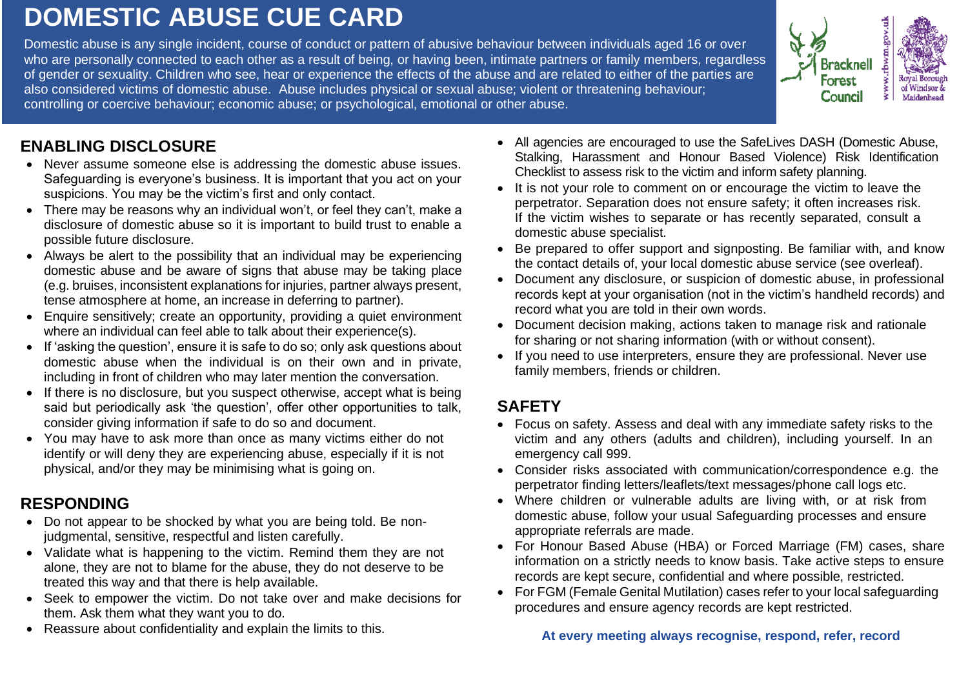# **DOMESTIC ABUSE CUE CARD**

Domestic abuse is any single incident, course of conduct or pattern of abusive behaviour between individuals aged 16 or over who are personally connected to each other as a result of being, or having been, intimate partners or family members, regardless of gender or sexuality. Children who see, hear or experience the effects of the abuse and are related to either of the parties are also considered victims of domestic abuse. Abuse includes physical or sexual abuse; violent or threatening behaviour; controlling or coercive behaviour; economic abuse; or psychological, emotional or other abuse.



#### **ENABLING DISCLOSURE**

- Never assume someone else is addressing the domestic abuse issues. Safeguarding is everyone's business. It is important that you act on your suspicions. You may be the victim's first and only contact.
- There may be reasons why an individual won't, or feel they can't, make a disclosure of domestic abuse so it is important to build trust to enable a possible future disclosure.
- Always be alert to the possibility that an individual may be experiencing domestic abuse and be aware of signs that abuse may be taking place (e.g. bruises, inconsistent explanations for injuries, partner always present, tense atmosphere at home, an increase in deferring to partner).
- Enquire sensitively; create an opportunity, providing a quiet environment where an individual can feel able to talk about their experience(s).
- If 'asking the question', ensure it is safe to do so; only ask questions about domestic abuse when the individual is on their own and in private, including in front of children who may later mention the conversation.
- If there is no disclosure, but you suspect otherwise, accept what is being said but periodically ask 'the question', offer other opportunities to talk, consider giving information if safe to do so and document.
- You may have to ask more than once as many victims either do not identify or will deny they are experiencing abuse, especially if it is not physical, and/or they may be minimising what is going on.

#### **RESPONDING**

- Do not appear to be shocked by what you are being told. Be nonjudgmental, sensitive, respectful and listen carefully.
- Validate what is happening to the victim. Remind them they are not alone, they are not to blame for the abuse, they do not deserve to be treated this way and that there is help available.
- Seek to empower the victim. Do not take over and make decisions for them. Ask them what they want you to do.
- Reassure about confidentiality and explain the limits to this.
- All agencies are encouraged to use the SafeLives DASH (Domestic Abuse, Stalking, Harassment and Honour Based Violence) Risk Identification Checklist to assess risk to the victim and inform safety planning.
- It is not your role to comment on or encourage the victim to leave the perpetrator. Separation does not ensure safety; it often increases risk. If the victim wishes to separate or has recently separated, consult a domestic abuse specialist.
- Be prepared to offer support and signposting. Be familiar with, and know the contact details of, your local domestic abuse service (see overleaf).
- Document any disclosure, or suspicion of domestic abuse, in professional records kept at your organisation (not in the victim's handheld records) and record what you are told in their own words.
- Document decision making, actions taken to manage risk and rationale for sharing or not sharing information (with or without consent).
- If you need to use interpreters, ensure they are professional. Never use family members, friends or children.

### **SAFETY**

- Focus on safety. Assess and deal with any immediate safety risks to the victim and any others (adults and children), including yourself. In an emergency call 999.
- Consider risks associated with communication/correspondence e.g. the perpetrator finding letters/leaflets/text messages/phone call logs etc.
- Where children or vulnerable adults are living with, or at risk from domestic abuse, follow your usual Safeguarding processes and ensure appropriate referrals are made.
- For Honour Based Abuse (HBA) or Forced Marriage (FM) cases, share information on a strictly needs to know basis. Take active steps to ensure records are kept secure, confidential and where possible, restricted.
- For FGM (Female Genital Mutilation) cases refer to your local safeguarding procedures and ensure agency records are kept restricted.

#### **At every meeting always recognise, respond, refer, record**